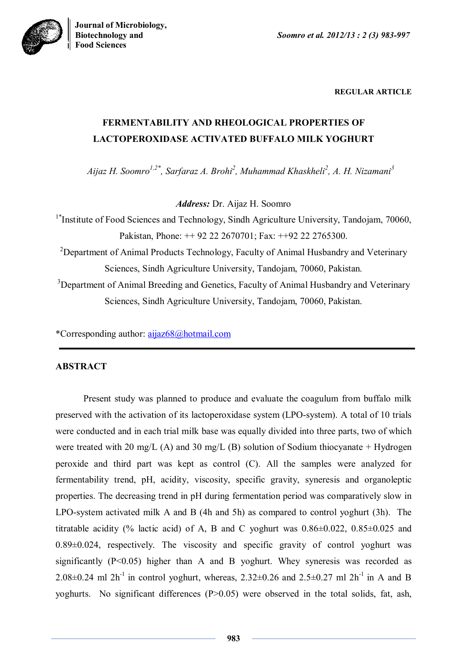**Biotechnology and** *Soomro et al. 2012/13 : 2 (3) 983-997*



**REGULAR ARTICLE**

# **FERMENTABILITY AND RHEOLOGICAL PROPERTIES OF LACTOPEROXIDASE ACTIVATED BUFFALO MILK YOGHURT**

*Aijaz H. Soomro1,2\*, Sarfaraz A. Brohi<sup>2</sup> , Muhammad Khaskheli<sup>2</sup> , A. H. Nizamani<sup>3</sup>*

*Address:* Dr. Aijaz H. Soomro

<sup>1\*</sup>Institute of Food Sciences and Technology, Sindh Agriculture University, Tandojam, 70060, Pakistan, Phone: ++ 92 22 2670701; Fax: ++92 22 2765300.

<sup>2</sup>Department of Animal Products Technology, Faculty of Animal Husbandry and Veterinary Sciences, Sindh Agriculture University, Tandojam, 70060, Pakistan.

<sup>3</sup>Department of Animal Breeding and Genetics, Faculty of Animal Husbandry and Veterinary Sciences, Sindh Agriculture University, Tandojam, 70060, Pakistan.

\*Corresponding author: aijaz68@hotmail.com

# **ABSTRACT**

Present study was planned to produce and evaluate the coagulum from buffalo milk preserved with the activation of its lactoperoxidase system (LPO-system). A total of 10 trials were conducted and in each trial milk base was equally divided into three parts, two of which were treated with 20 mg/L (A) and 30 mg/L (B) solution of Sodium thiocyanate + Hydrogen peroxide and third part was kept as control (C). All the samples were analyzed for fermentability trend, pH, acidity, viscosity, specific gravity, syneresis and organoleptic properties. The decreasing trend in pH during fermentation period was comparatively slow in LPO-system activated milk A and B (4h and 5h) as compared to control yoghurt (3h). The titratable acidity (% lactic acid) of A, B and C yoghurt was  $0.86\pm0.022$ ,  $0.85\pm0.025$  and 0.89±0.024, respectively. The viscosity and specific gravity of control yoghurt was significantly  $(P<0.05)$  higher than A and B yoghurt. Whey syneresis was recorded as 2.08 $\pm$ 0.24 ml 2h<sup>-1</sup> in control yoghurt, whereas, 2.32 $\pm$ 0.26 and 2.5 $\pm$ 0.27 ml 2h<sup>-1</sup> in A and B yoghurts. No significant differences (P>0.05) were observed in the total solids, fat, ash,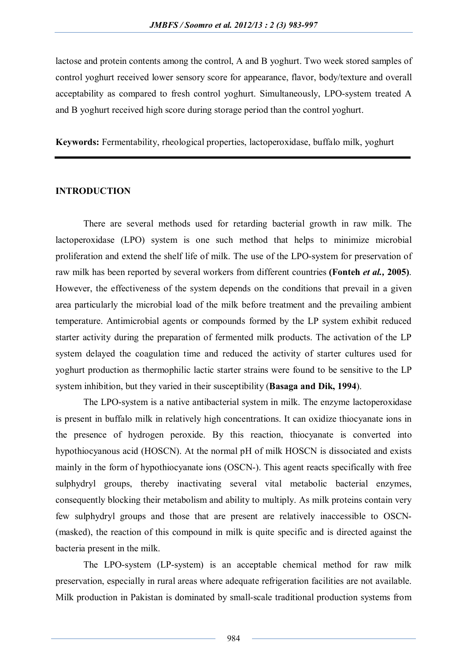lactose and protein contents among the control, A and B yoghurt. Two week stored samples of control yoghurt received lower sensory score for appearance, flavor, body/texture and overall acceptability as compared to fresh control yoghurt. Simultaneously, LPO-system treated A and B yoghurt received high score during storage period than the control yoghurt.

**Keywords:** Fermentability, rheological properties, lactoperoxidase, buffalo milk, yoghurt

## **INTRODUCTION**

There are several methods used for retarding bacterial growth in raw milk. The lactoperoxidase (LPO) system is one such method that helps to minimize microbial proliferation and extend the shelf life of milk. The use of the LPO-system for preservation of raw milk has been reported by several workers from different countries **(Fonteh** *et al.,* **2005)**. However, the effectiveness of the system depends on the conditions that prevail in a given area particularly the microbial load of the milk before treatment and the prevailing ambient temperature. Antimicrobial agents or compounds formed by the LP system exhibit reduced starter activity during the preparation of fermented milk products. The activation of the LP system delayed the coagulation time and reduced the activity of starter cultures used for yoghurt production as thermophilic lactic starter strains were found to be sensitive to the LP system inhibition, but they varied in their susceptibility (**Basaga and Dik, 1994**).

The LPO-system is a native antibacterial system in milk. The enzyme lactoperoxidase is present in buffalo milk in relatively high concentrations. It can oxidize thiocyanate ions in the presence of hydrogen peroxide. By this reaction, thiocyanate is converted into hypothiocyanous acid (HOSCN). At the normal pH of milk HOSCN is dissociated and exists mainly in the form of hypothiocyanate ions (OSCN-). This agent reacts specifically with free sulphydryl groups, thereby inactivating several vital metabolic bacterial enzymes, consequently blocking their metabolism and ability to multiply. As milk proteins contain very few sulphydryl groups and those that are present are relatively inaccessible to OSCN- (masked), the reaction of this compound in milk is quite specific and is directed against the bacteria present in the milk.

The LPO-system (LP-system) is an acceptable chemical method for raw milk preservation, especially in rural areas where adequate refrigeration facilities are not available. Milk production in Pakistan is dominated by small-scale traditional production systems from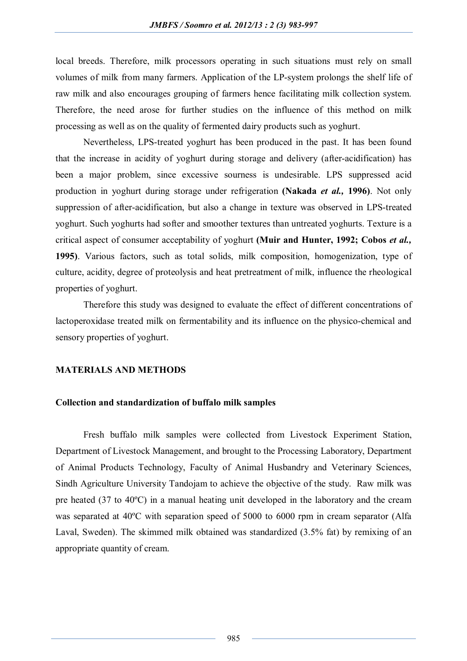local breeds. Therefore, milk processors operating in such situations must rely on small volumes of milk from many farmers. Application of the LP-system prolongs the shelf life of raw milk and also encourages grouping of farmers hence facilitating milk collection system. Therefore, the need arose for further studies on the influence of this method on milk processing as well as on the quality of fermented dairy products such as yoghurt.

Nevertheless, LPS-treated yoghurt has been produced in the past. It has been found that the increase in acidity of yoghurt during storage and delivery (after-acidification) has been a major problem, since excessive sourness is undesirable. LPS suppressed acid production in yoghurt during storage under refrigeration **(Nakada** *et al.,* **1996)**. Not only suppression of after-acidification, but also a change in texture was observed in LPS-treated yoghurt. Such yoghurts had softer and smoother textures than untreated yoghurts. Texture is a critical aspect of consumer acceptability of yoghurt **(Muir and Hunter, 1992; Cobos** *et al.,* **1995)**. Various factors, such as total solids, milk composition, homogenization, type of culture, acidity, degree of proteolysis and heat pretreatment of milk, influence the rheological properties of yoghurt.

Therefore this study was designed to evaluate the effect of different concentrations of lactoperoxidase treated milk on fermentability and its influence on the physico-chemical and sensory properties of yoghurt.

#### **MATERIALS AND METHODS**

## **Collection and standardization of buffalo milk samples**

Fresh buffalo milk samples were collected from Livestock Experiment Station, Department of Livestock Management, and brought to the Processing Laboratory, Department of Animal Products Technology, Faculty of Animal Husbandry and Veterinary Sciences, Sindh Agriculture University Tandojam to achieve the objective of the study. Raw milk was pre heated (37 to 40ºC) in a manual heating unit developed in the laboratory and the cream was separated at 40ºC with separation speed of 5000 to 6000 rpm in cream separator (Alfa Laval, Sweden). The skimmed milk obtained was standardized (3.5% fat) by remixing of an appropriate quantity of cream.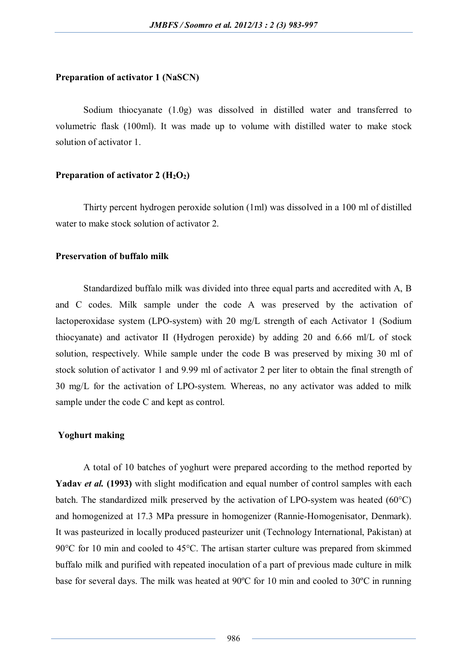#### **Preparation of activator 1 (NaSCN)**

Sodium thiocyanate (1.0g) was dissolved in distilled water and transferred to volumetric flask (100ml). It was made up to volume with distilled water to make stock solution of activator 1.

### **Preparation of activator 2 (H2O2)**

Thirty percent hydrogen peroxide solution (1ml) was dissolved in a 100 ml of distilled water to make stock solution of activator 2.

## **Preservation of buffalo milk**

Standardized buffalo milk was divided into three equal parts and accredited with A, B and C codes. Milk sample under the code A was preserved by the activation of lactoperoxidase system (LPO-system) with 20 mg/L strength of each Activator 1 (Sodium thiocyanate) and activator II (Hydrogen peroxide) by adding 20 and 6.66 ml/L of stock solution, respectively. While sample under the code B was preserved by mixing 30 ml of stock solution of activator 1 and 9.99 ml of activator 2 per liter to obtain the final strength of 30 mg/L for the activation of LPO-system. Whereas, no any activator was added to milk sample under the code C and kept as control.

# **Yoghurt making**

A total of 10 batches of yoghurt were prepared according to the method reported by **Yadav** *et al.* **(1993)** with slight modification and equal number of control samples with each batch. The standardized milk preserved by the activation of LPO-system was heated (60°C) and homogenized at 17.3 MPa pressure in homogenizer (Rannie-Homogenisator, Denmark). It was pasteurized in locally produced pasteurizer unit (Technology International, Pakistan) at 90°C for 10 min and cooled to 45°C. The artisan starter culture was prepared from skimmed buffalo milk and purified with repeated inoculation of a part of previous made culture in milk base for several days. The milk was heated at 90ºC for 10 min and cooled to 30ºC in running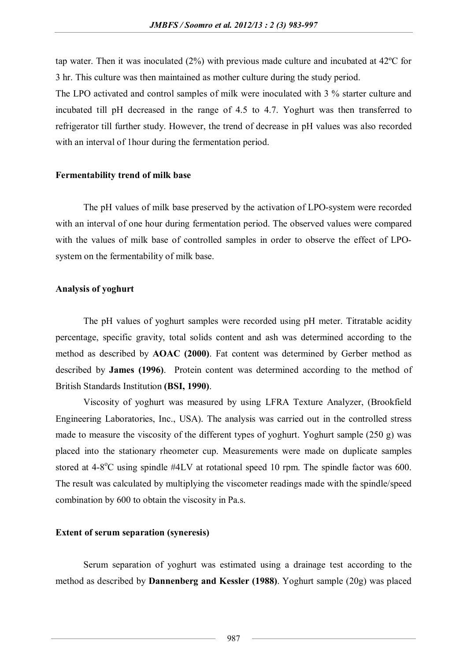tap water. Then it was inoculated (2%) with previous made culture and incubated at 42ºC for 3 hr. This culture was then maintained as mother culture during the study period.

The LPO activated and control samples of milk were inoculated with 3 % starter culture and incubated till pH decreased in the range of 4.5 to 4.7. Yoghurt was then transferred to refrigerator till further study. However, the trend of decrease in pH values was also recorded with an interval of 1hour during the fermentation period.

#### **Fermentability trend of milk base**

The pH values of milk base preserved by the activation of LPO-system were recorded with an interval of one hour during fermentation period. The observed values were compared with the values of milk base of controlled samples in order to observe the effect of LPOsystem on the fermentability of milk base.

#### **Analysis of yoghurt**

The pH values of yoghurt samples were recorded using pH meter. Titratable acidity percentage, specific gravity, total solids content and ash was determined according to the method as described by **AOAC (2000)**. Fat content was determined by Gerber method as described by **James (1996)**. Protein content was determined according to the method of British Standards Institution **(BSI, 1990)**.

Viscosity of yoghurt was measured by using LFRA Texture Analyzer, (Brookfield Engineering Laboratories, Inc., USA). The analysis was carried out in the controlled stress made to measure the viscosity of the different types of yoghurt. Yoghurt sample (250 g) was placed into the stationary rheometer cup. Measurements were made on duplicate samples stored at 4-8<sup>o</sup>C using spindle #4LV at rotational speed 10 rpm. The spindle factor was 600. The result was calculated by multiplying the viscometer readings made with the spindle/speed combination by 600 to obtain the viscosity in Pa.s.

#### **Extent of serum separation (syneresis)**

Serum separation of yoghurt was estimated using a drainage test according to the method as described by **Dannenberg and Kessler (1988)**. Yoghurt sample (20g) was placed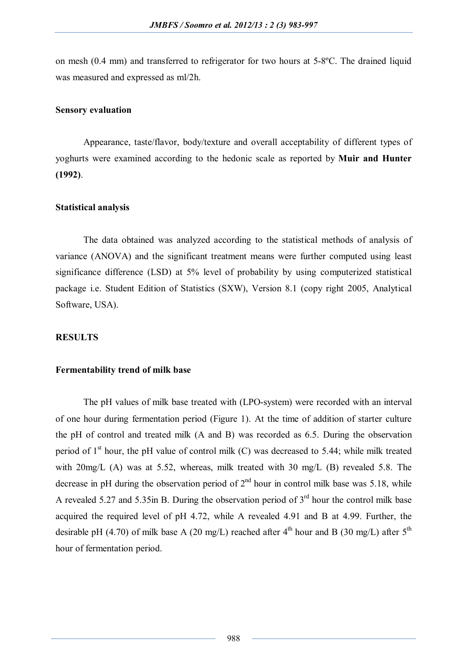on mesh (0.4 mm) and transferred to refrigerator for two hours at 5-8ºC. The drained liquid was measured and expressed as ml/2h.

## **Sensory evaluation**

Appearance, taste/flavor, body/texture and overall acceptability of different types of yoghurts were examined according to the hedonic scale as reported by **Muir and Hunter (1992)**.

## **Statistical analysis**

The data obtained was analyzed according to the statistical methods of analysis of variance (ANOVA) and the significant treatment means were further computed using least significance difference (LSD) at 5% level of probability by using computerized statistical package i.e. Student Edition of Statistics (SXW), Version 8.1 (copy right 2005, Analytical Software, USA).

# **RESULTS**

## **Fermentability trend of milk base**

The pH values of milk base treated with (LPO-system) were recorded with an interval of one hour during fermentation period (Figure 1). At the time of addition of starter culture the pH of control and treated milk (A and B) was recorded as 6.5. During the observation period of  $1<sup>st</sup>$  hour, the pH value of control milk (C) was decreased to 5.44; while milk treated with 20mg/L (A) was at 5.52, whereas, milk treated with 30 mg/L (B) revealed 5.8. The decrease in pH during the observation period of  $2<sup>nd</sup>$  hour in control milk base was 5.18, while A revealed 5.27 and 5.35in B. During the observation period of  $3<sup>rd</sup>$  hour the control milk base acquired the required level of pH 4.72, while A revealed 4.91 and B at 4.99. Further, the desirable pH (4.70) of milk base A (20 mg/L) reached after  $4<sup>th</sup>$  hour and B (30 mg/L) after  $5<sup>th</sup>$ hour of fermentation period.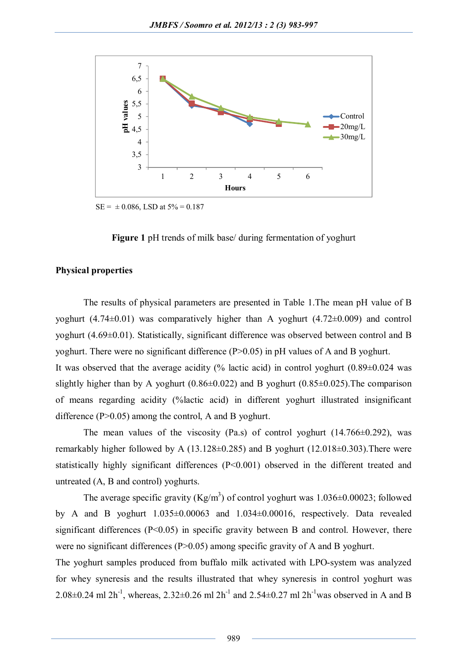

 $SE = \pm 0.086$ , LSD at  $5\% = 0.187$ 



## **Physical properties**

The results of physical parameters are presented in Table 1.The mean pH value of B yoghurt (4.74±0.01) was comparatively higher than A yoghurt (4.72±0.009) and control yoghurt (4.69±0.01). Statistically, significant difference was observed between control and B yoghurt. There were no significant difference (P>0.05) in pH values of A and B yoghurt.

It was observed that the average acidity (% lactic acid) in control yoghurt  $(0.89\pm0.024$  was slightly higher than by A yoghurt  $(0.86\pm0.022)$  and B yoghurt  $(0.85\pm0.025)$ . The comparison of means regarding acidity (%lactic acid) in different yoghurt illustrated insignificant difference (P>0.05) among the control, A and B yoghurt.

The mean values of the viscosity (Pa.s) of control yoghurt  $(14.766\pm0.292)$ , was remarkably higher followed by A (13.128±0.285) and B yoghurt (12.018±0.303).There were statistically highly significant differences (P<0.001) observed in the different treated and untreated (A, B and control) yoghurts.

The average specific gravity (Kg/m<sup>3</sup>) of control yoghurt was  $1.036\pm0.00023$ ; followed by A and B yoghurt 1.035±0.00063 and 1.034±0.00016, respectively. Data revealed significant differences (P<0.05) in specific gravity between B and control. However, there were no significant differences (P>0.05) among specific gravity of A and B yoghurt.

The yoghurt samples produced from buffalo milk activated with LPO-system was analyzed for whey syneresis and the results illustrated that whey syneresis in control yoghurt was 2.08 $\pm$ 0.24 ml 2h<sup>-1</sup>, whereas, 2.32 $\pm$ 0.26 ml 2h<sup>-1</sup> and 2.54 $\pm$ 0.27 ml 2h<sup>-1</sup> was observed in A and B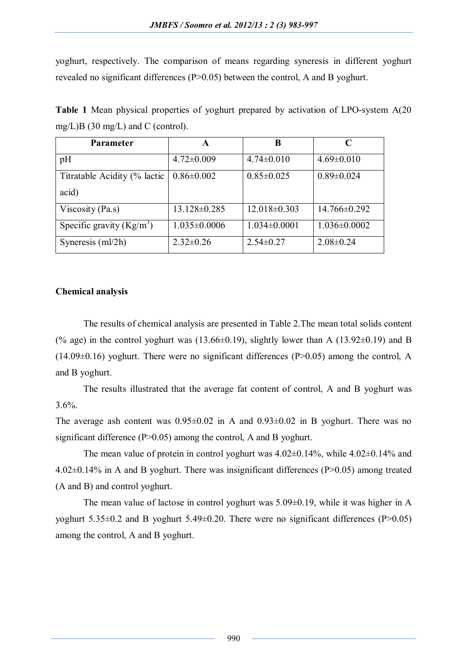yoghurt, respectively. The comparison of means regarding syneresis in different yoghurt revealed no significant differences (P>0.05) between the control, A and B yoghurt.

| <b>Parameter</b>             | A                  | B                |                    |
|------------------------------|--------------------|------------------|--------------------|
| pH                           | $4.72 \pm 0.009$   | $4.74 \pm 0.010$ | $4.69 \pm 0.010$   |
| Titratable Acidity (% lactic | $0.86 \pm 0.002$   | $0.85 \pm 0.025$ | $0.89 \pm 0.024$   |
| acid)                        |                    |                  |                    |
| Viscosity (Pa.s)             | $13.128 \pm 0.285$ | $12.018\pm0.303$ | $14.766 \pm 0.292$ |
| Specific gravity $(Kg/m^3)$  | $1.035 \pm 0.0006$ | $1.034\pm0.0001$ | $1.036 \pm 0.0002$ |
| Syneresis (ml/2h)            | $2.32 \pm 0.26$    | $2.54 \pm 0.27$  | $2.08 \pm 0.24$    |

**Table 1** Mean physical properties of yoghurt prepared by activation of LPO-system A(20 mg/L)B (30 mg/L) and C (control).

# **Chemical analysis**

The results of chemical analysis are presented in Table 2.The mean total solids content (% age) in the control yoghurt was  $(13.66\pm0.19)$ , slightly lower than A  $(13.92\pm0.19)$  and B  $(14.09\pm0.16)$  yoghurt. There were no significant differences  $(P>0.05)$  among the control, A and B yoghurt.

The results illustrated that the average fat content of control, A and B yoghurt was  $3.6\%$ .

The average ash content was  $0.95\pm0.02$  in A and  $0.93\pm0.02$  in B yoghurt. There was no significant difference (P>0.05) among the control, A and B yoghurt.

The mean value of protein in control yoghurt was  $4.02\pm0.14\%$ , while  $4.02\pm0.14\%$  and 4.02±0.14% in A and B yoghurt. There was insignificant differences (P>0.05) among treated (A and B) and control yoghurt.

The mean value of lactose in control yoghurt was 5.09±0.19, while it was higher in A yoghurt 5.35±0.2 and B yoghurt 5.49±0.20. There were no significant differences (P>0.05) among the control, A and B yoghurt.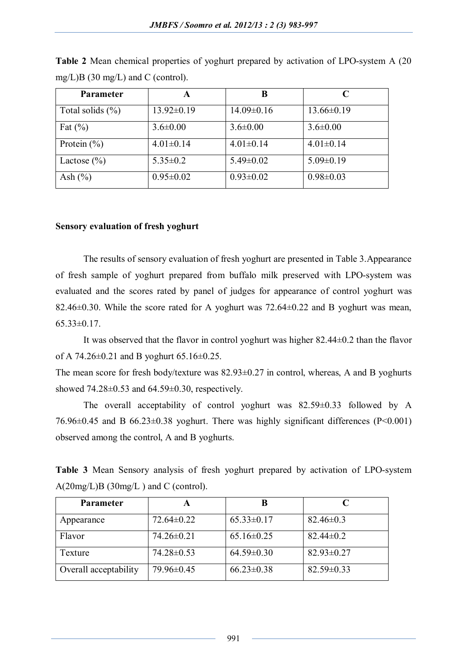| <b>Parameter</b>     |                  | B                |                  |
|----------------------|------------------|------------------|------------------|
| Total solids $(\% )$ | $13.92 \pm 0.19$ | $14.09 \pm 0.16$ | $13.66 \pm 0.19$ |
| Fat $(\% )$          | $3.6 \pm 0.00$   | $3.6 \pm 0.00$   | $3.6 \pm 0.00$   |
| Protein $(\% )$      | $4.01 \pm 0.14$  | $4.01 \pm 0.14$  | $4.01 \pm 0.14$  |
| Lactose $(\% )$      | $5.35 \pm 0.2$   | $5.49 \pm 0.02$  | $5.09 \pm 0.19$  |
| Ash $(\% )$          | $0.95 \pm 0.02$  | $0.93 \pm 0.02$  | $0.98 \pm 0.03$  |

**Table 2** Mean chemical properties of yoghurt prepared by activation of LPO-system A (20 mg/L)B (30 mg/L) and C (control).

# **Sensory evaluation of fresh yoghurt**

The results of sensory evaluation of fresh yoghurt are presented in Table 3.Appearance of fresh sample of yoghurt prepared from buffalo milk preserved with LPO-system was evaluated and the scores rated by panel of judges for appearance of control yoghurt was 82.46±0.30. While the score rated for A yoghurt was 72.64±0.22 and B yoghurt was mean,  $65.33\pm0.17$ .

It was observed that the flavor in control yoghurt was higher 82.44±0.2 than the flavor of A 74.26 $\pm$ 0.21 and B yoghurt 65.16 $\pm$ 0.25.

The mean score for fresh body/texture was  $82.93\pm0.27$  in control, whereas, A and B yoghurts showed  $74.28\pm0.53$  and  $64.59\pm0.30$ , respectively.

The overall acceptability of control yoghurt was 82.59±0.33 followed by A 76.96 $\pm$ 0.45 and B 66.23 $\pm$ 0.38 yoghurt. There was highly significant differences (P<0.001) observed among the control, A and B yoghurts.

**Table 3** Mean Sensory analysis of fresh yoghurt prepared by activation of LPO-system  $A(20mg/L)B(30mg/L)$  and C (control).

| <b>Parameter</b>      | A                |                  |                  |
|-----------------------|------------------|------------------|------------------|
| Appearance            | $72.64 \pm 0.22$ | $65.33 \pm 0.17$ | $82.46 \pm 0.3$  |
| Flavor                | $74.26 \pm 0.21$ | $65.16 \pm 0.25$ | $82.44 \pm 0.2$  |
| Texture               | 74.28±0.53       | $64.59 \pm 0.30$ | $82.93 \pm 0.27$ |
| Overall acceptability | 79.96±0.45       | $66.23 \pm 0.38$ | $82.59 \pm 0.33$ |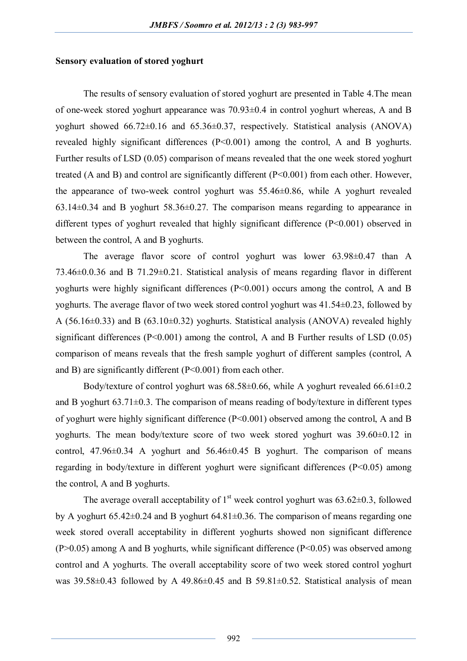#### **Sensory evaluation of stored yoghurt**

The results of sensory evaluation of stored yoghurt are presented in Table 4.The mean of one-week stored yoghurt appearance was 70.93±0.4 in control yoghurt whereas, A and B yoghurt showed 66.72±0.16 and 65.36±0.37, respectively. Statistical analysis (ANOVA) revealed highly significant differences (P<0.001) among the control, A and B yoghurts. Further results of LSD (0.05) comparison of means revealed that the one week stored yoghurt treated (A and B) and control are significantly different (P<0.001) from each other. However, the appearance of two-week control yoghurt was 55.46±0.86, while A yoghurt revealed 63.14±0.34 and B yoghurt 58.36±0.27. The comparison means regarding to appearance in different types of yoghurt revealed that highly significant difference (P<0.001) observed in between the control, A and B yoghurts.

The average flavor score of control yoghurt was lower 63.98±0.47 than A 73.46±0.0.36 and B 71.29±0.21. Statistical analysis of means regarding flavor in different yoghurts were highly significant differences  $(P<0.001)$  occurs among the control, A and B yoghurts. The average flavor of two week stored control yoghurt was 41.54±0.23, followed by A (56.16±0.33) and B (63.10±0.32) yoghurts. Statistical analysis (ANOVA) revealed highly significant differences  $(P<0.001)$  among the control, A and B Further results of LSD  $(0.05)$ comparison of means reveals that the fresh sample yoghurt of different samples (control, A and B) are significantly different (P<0.001) from each other.

Body/texture of control yoghurt was  $68.58\pm0.66$ , while A yoghurt revealed  $66.61\pm0.2$ and B yoghurt  $63.71\pm0.3$ . The comparison of means reading of body/texture in different types of yoghurt were highly significant difference (P<0.001) observed among the control, A and B yoghurts. The mean body/texture score of two week stored yoghurt was 39.60±0.12 in control,  $47.96\pm0.34$  A yoghurt and  $56.46\pm0.45$  B yoghurt. The comparison of means regarding in body/texture in different yoghurt were significant differences (P<0.05) among the control, A and B yoghurts.

The average overall acceptability of  $1<sup>st</sup>$  week control yoghurt was 63.62 $\pm$ 0.3, followed by A yoghurt  $65.42\pm0.24$  and B yoghurt  $64.81\pm0.36$ . The comparison of means regarding one week stored overall acceptability in different yoghurts showed non significant difference  $(P>0.05)$  among A and B yoghurts, while significant difference  $(P<0.05)$  was observed among control and A yoghurts. The overall acceptability score of two week stored control yoghurt was  $39.58\pm0.43$  followed by A 49.86 $\pm$ 0.45 and B 59.81 $\pm$ 0.52. Statistical analysis of mean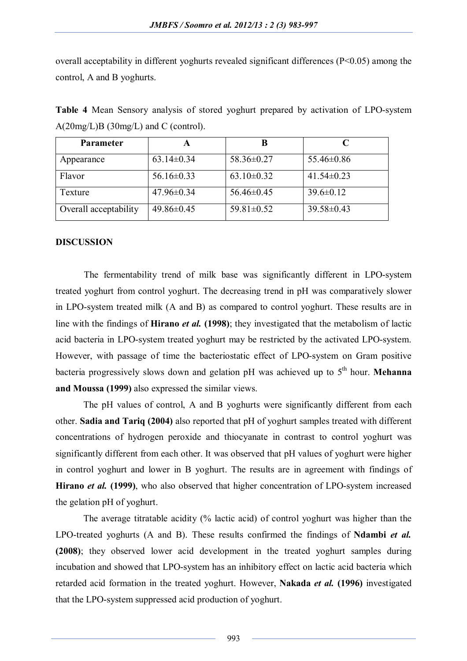overall acceptability in different yoghurts revealed significant differences (P<0.05) among the control, A and B yoghurts.

**Table 4** Mean Sensory analysis of stored yoghurt prepared by activation of LPO-system A(20mg/L)B (30mg/L) and C (control).

| <b>Parameter</b>      | A                |                  |                  |
|-----------------------|------------------|------------------|------------------|
| Appearance            | $63.14 \pm 0.34$ | $58.36 \pm 0.27$ | $55.46 \pm 0.86$ |
| Flavor                | $56.16 \pm 0.33$ | $63.10 \pm 0.32$ | $41.54\pm0.23$   |
| Texture               | $47.96 \pm 0.34$ | $56.46 \pm 0.45$ | $39.6 \pm 0.12$  |
| Overall acceptability | 49.86±0.45       | $59.81 \pm 0.52$ | $39.58 \pm 0.43$ |

#### **DISCUSSION**

The fermentability trend of milk base was significantly different in LPO-system treated yoghurt from control yoghurt. The decreasing trend in pH was comparatively slower in LPO-system treated milk (A and B) as compared to control yoghurt. These results are in line with the findings of **Hirano** *et al.* **(1998)**; they investigated that the metabolism of lactic acid bacteria in LPO-system treated yoghurt may be restricted by the activated LPO-system. However, with passage of time the bacteriostatic effect of LPO-system on Gram positive bacteria progressively slows down and gelation pH was achieved up to 5<sup>th</sup> hour. **Mehanna and Moussa (1999)** also expressed the similar views.

The pH values of control, A and B yoghurts were significantly different from each other. **Sadia and Tariq (2004)** also reported that pH of yoghurt samples treated with different concentrations of hydrogen peroxide and thiocyanate in contrast to control yoghurt was significantly different from each other. It was observed that pH values of yoghurt were higher in control yoghurt and lower in B yoghurt. The results are in agreement with findings of **Hirano** *et al.* **(1999)**, who also observed that higher concentration of LPO-system increased the gelation pH of yoghurt.

The average titratable acidity (% lactic acid) of control yoghurt was higher than the LPO-treated yoghurts (A and B). These results confirmed the findings of **Ndambi** *et al.* **(2008)**; they observed lower acid development in the treated yoghurt samples during incubation and showed that LPO-system has an inhibitory effect on lactic acid bacteria which retarded acid formation in the treated yoghurt. However, **Nakada** *et al.* **(1996)** investigated that the LPO-system suppressed acid production of yoghurt.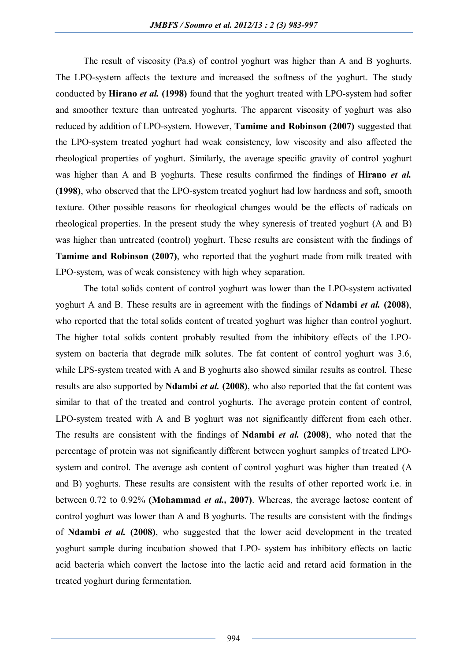The result of viscosity (Pa.s) of control yoghurt was higher than A and B yoghurts. The LPO-system affects the texture and increased the softness of the yoghurt. The study conducted by **Hirano** *et al.* **(1998)** found that the yoghurt treated with LPO-system had softer and smoother texture than untreated yoghurts. The apparent viscosity of yoghurt was also reduced by addition of LPO-system. However, **Tamime and Robinson (2007)** suggested that the LPO-system treated yoghurt had weak consistency, low viscosity and also affected the rheological properties of yoghurt. Similarly, the average specific gravity of control yoghurt was higher than A and B yoghurts. These results confirmed the findings of **Hirano** *et al.* **(1998)**, who observed that the LPO-system treated yoghurt had low hardness and soft, smooth texture. Other possible reasons for rheological changes would be the effects of radicals on rheological properties. In the present study the whey syneresis of treated yoghurt (A and B) was higher than untreated (control) yoghurt. These results are consistent with the findings of **Tamime and Robinson (2007)**, who reported that the yoghurt made from milk treated with LPO-system, was of weak consistency with high whey separation.

The total solids content of control yoghurt was lower than the LPO-system activated yoghurt A and B. These results are in agreement with the findings of **Ndambi** *et al.* **(2008)**, who reported that the total solids content of treated yoghurt was higher than control yoghurt. The higher total solids content probably resulted from the inhibitory effects of the LPOsystem on bacteria that degrade milk solutes. The fat content of control yoghurt was 3.6, while LPS-system treated with A and B yoghurts also showed similar results as control. These results are also supported by **Ndambi** *et al.* **(2008)**, who also reported that the fat content was similar to that of the treated and control yoghurts. The average protein content of control, LPO-system treated with A and B yoghurt was not significantly different from each other. The results are consistent with the findings of **Ndambi** *et al.* **(2008)**, who noted that the percentage of protein was not significantly different between yoghurt samples of treated LPOsystem and control. The average ash content of control yoghurt was higher than treated (A and B) yoghurts. These results are consistent with the results of other reported work i.e. in between 0.72 to 0.92% **(Mohammad** *et al.,* **2007)**. Whereas, the average lactose content of control yoghurt was lower than A and B yoghurts. The results are consistent with the findings of **Ndambi** *et al.* **(2008)**, who suggested that the lower acid development in the treated yoghurt sample during incubation showed that LPO- system has inhibitory effects on lactic acid bacteria which convert the lactose into the lactic acid and retard acid formation in the treated yoghurt during fermentation.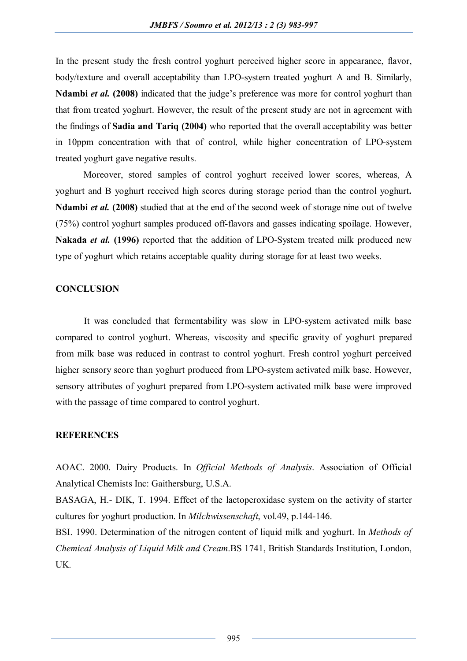In the present study the fresh control yoghurt perceived higher score in appearance, flavor, body/texture and overall acceptability than LPO-system treated yoghurt A and B. Similarly, **Ndambi** *et al.* **(2008)** indicated that the judge's preference was more for control yoghurt than that from treated yoghurt. However, the result of the present study are not in agreement with the findings of **Sadia and Tariq (2004)** who reported that the overall acceptability was better in 10ppm concentration with that of control, while higher concentration of LPO-system treated yoghurt gave negative results.

Moreover, stored samples of control yoghurt received lower scores, whereas, A yoghurt and B yoghurt received high scores during storage period than the control yoghurt**. Ndambi** *et al.* **(2008)** studied that at the end of the second week of storage nine out of twelve (75%) control yoghurt samples produced off-flavors and gasses indicating spoilage. However, **Nakada** *et al.* **(1996)** reported that the addition of LPO-System treated milk produced new type of yoghurt which retains acceptable quality during storage for at least two weeks.

#### **CONCLUSION**

It was concluded that fermentability was slow in LPO-system activated milk base compared to control yoghurt. Whereas, viscosity and specific gravity of yoghurt prepared from milk base was reduced in contrast to control yoghurt. Fresh control yoghurt perceived higher sensory score than yoghurt produced from LPO-system activated milk base. However, sensory attributes of yoghurt prepared from LPO-system activated milk base were improved with the passage of time compared to control yoghurt.

# **REFERENCES**

AOAC. 2000. Dairy Products. In *Official Methods of Analysis*. Association of Official Analytical Chemists Inc: Gaithersburg, U.S.A.

BASAGA, H.- DIK, T. 1994. Effect of the lactoperoxidase system on the activity of starter cultures for yoghurt production. In *Milchwissenschaft*, vol.49, p.144-146.

BSI. 1990. Determination of the nitrogen content of liquid milk and yoghurt. In *Methods of Chemical Analysis of Liquid Milk and Cream*.BS 1741, British Standards Institution, London, UK.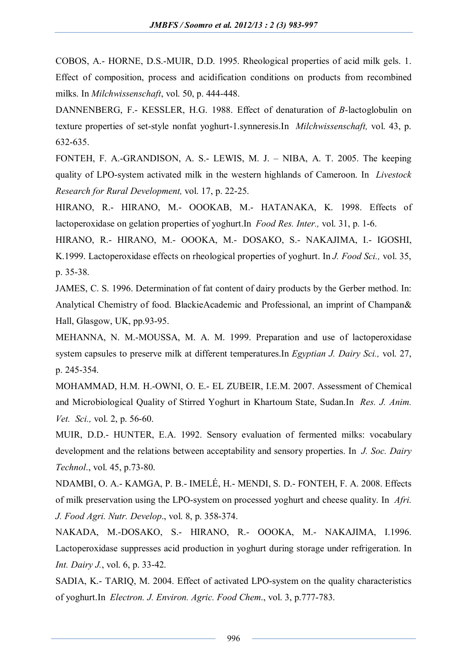COBOS, A.- HORNE, D.S.-MUIR, D.D. 1995. Rheological properties of acid milk gels. 1. Effect of composition, process and acidification conditions on products from recombined milks. In *Milchwissenschaft*, vol. 50, p. 444-448.

DANNENBERG, F.- KESSLER, H.G. 1988. Effect of denaturation of *B*-lactoglobulin on texture properties of set-style nonfat yoghurt-1.synneresis.In *Milchwissenschaft,* vol. 43, p. 632-635.

FONTEH, F. A.-GRANDISON, A. S.- LEWIS, M. J. – NIBA, A. T. 2005. The keeping quality of LPO-system activated milk in the western highlands of Cameroon. In *Livestock Research for Rural Development,* vol. 17, p. 22-25.

HIRANO, R.- HIRANO, M.- OOOKAB, M.- HATANAKA, K. 1998. Effects of lactoperoxidase on gelation properties of yoghurt.In *Food Res. Inter.,* vol. 31, p. 1-6.

HIRANO, R.- HIRANO, M.- OOOKA, M.- DOSAKO, S.- NAKAJIMA, I.- IGOSHI, K.1999. Lactoperoxidase effects on rheological properties of yoghurt. In *J. Food Sci.,* vol. 35, p. 35-38.

JAMES, C. S. 1996. Determination of fat content of dairy products by the Gerber method. In: Analytical Chemistry of food. BlackieAcademic and Professional, an imprint of Champan& Hall, Glasgow, UK, pp.93-95.

MEHANNA, N. M.-MOUSSA, M. A. M. 1999. Preparation and use of lactoperoxidase system capsules to preserve milk at different temperatures.In *Egyptian J. Dairy Sci.,* vol. 27, p. 245-354.

MOHAMMAD, H.M. H.-OWNI, O. E.- EL ZUBEIR, I.E.M. 2007. Assessment of Chemical and Microbiological Quality of Stirred Yoghurt in Khartoum State, Sudan.In *Res. J. Anim. Vet. Sci.,* vol. 2, p. 56-60.

MUIR, D.D.- HUNTER, E.A. 1992. Sensory evaluation of fermented milks: vocabulary development and the relations between acceptability and sensory properties. In *J. Soc. Dairy Technol*., vol. 45, p.73-80.

NDAMBI, O. A.- KAMGA, P. B.- IMELÉ, H.- MENDI, S. D.- FONTEH, F. A. 2008. Effects of milk preservation using the LPO-system on processed yoghurt and cheese quality. In *Afri. J. Food Agri. Nutr. Develop*., vol. 8, p. 358-374.

NAKADA, M.-DOSAKO, S.- HIRANO, R.- OOOKA, M.- NAKAJIMA, I.1996. Lactoperoxidase suppresses acid production in yoghurt during storage under refrigeration. In *Int. Dairy J.*, vol. 6, p. 33-42.

SADIA, K.- TARIQ, M. 2004. Effect of activated LPO-system on the quality characteristics of yoghurt.In *Electron. J. Environ. Agric. Food Chem*., vol. 3, p.777-783.